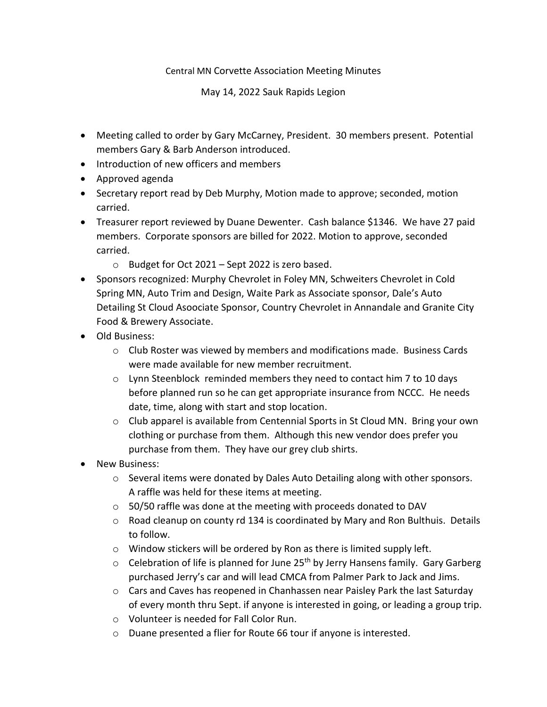## Central MN Corvette Association Meeting Minutes

May 14, 2022 Sauk Rapids Legion

- Meeting called to order by Gary McCarney, President. 30 members present. Potential members Gary & Barb Anderson introduced.
- Introduction of new officers and members
- Approved agenda
- Secretary report read by Deb Murphy, Motion made to approve; seconded, motion carried.
- Treasurer report reviewed by Duane Dewenter. Cash balance \$1346. We have 27 paid members. Corporate sponsors are billed for 2022. Motion to approve, seconded carried.
	- o Budget for Oct 2021 Sept 2022 is zero based.
- Sponsors recognized: Murphy Chevrolet in Foley MN, Schweiters Chevrolet in Cold Spring MN, Auto Trim and Design, Waite Park as Associate sponsor, Dale's Auto Detailing St Cloud Asoociate Sponsor, Country Chevrolet in Annandale and Granite City Food & Brewery Associate.
- Old Business:
	- $\circ$  Club Roster was viewed by members and modifications made. Business Cards were made available for new member recruitment.
	- $\circ$  Lynn Steenblock reminded members they need to contact him 7 to 10 days before planned run so he can get appropriate insurance from NCCC. He needs date, time, along with start and stop location.
	- $\circ$  Club apparel is available from Centennial Sports in St Cloud MN. Bring your own clothing or purchase from them. Although this new vendor does prefer you purchase from them. They have our grey club shirts.
- New Business:
	- $\circ$  Several items were donated by Dales Auto Detailing along with other sponsors. A raffle was held for these items at meeting.
	- $\circ$  50/50 raffle was done at the meeting with proceeds donated to DAV
	- o Road cleanup on county rd 134 is coordinated by Mary and Ron Bulthuis. Details to follow.
	- o Window stickers will be ordered by Ron as there is limited supply left.
	- $\circ$  Celebration of life is planned for June 25<sup>th</sup> by Jerry Hansens family. Gary Garberg purchased Jerry's car and will lead CMCA from Palmer Park to Jack and Jims.
	- $\circ$  Cars and Caves has reopened in Chanhassen near Paisley Park the last Saturday of every month thru Sept. if anyone is interested in going, or leading a group trip.
	- o Volunteer is needed for Fall Color Run.
	- o Duane presented a flier for Route 66 tour if anyone is interested.